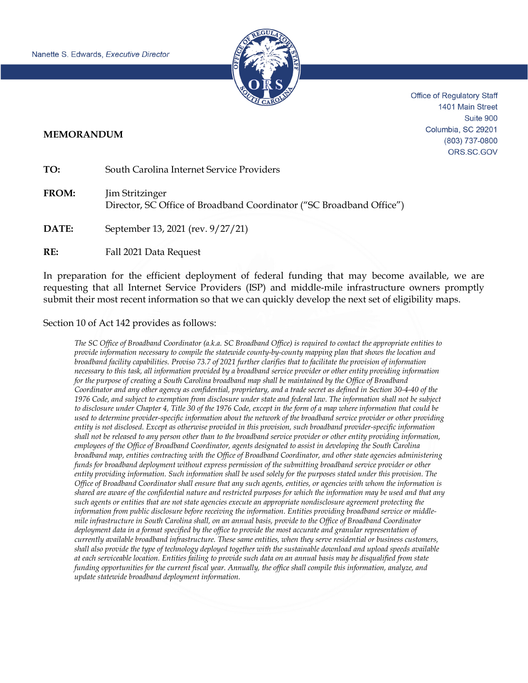

Office of Regulatory Staff 1401 Main Street Suite 900 Columbia, SC 29201 (803) 737-0800 ORS.SC.GOV

## **MEMORANDUM**

**TO:** South Carolina Internet Service Providers

**FROM:** Jim Stritzinger Director, SC Office of Broadband Coordinator ("SC Broadband Office")

**DATE:** September 13, 2021 (rev. 9/27/21)

**RE:** Fall 2021 Data Request

In preparation for the efficient deployment of federal funding that may become available, we are requesting that all Internet Service Providers (ISP) and middle-mile infrastructure owners promptly submit their most recent information so that we can quickly develop the next set of eligibility maps.

## Section 10 of Act 142 provides as follows:

*The SC Office of Broadband Coordinator (a.k.a. SC Broadband Office) is required to contact the appropriate entities to provide information necessary to compile the statewide county-by-county mapping plan that shows the location and broadband facility capabilities. Proviso 73.7 of 2021 further clarifies that to facilitate the provision of information necessary to this task, all information provided by a broadband service provider or other entity providing information for the purpose of creating a South Carolina broadband map shall be maintained by the Office of Broadband Coordinator and any other agency as confidential, proprietary, and a trade secret as defined in Section 30-4-40 of the 1976 Code, and subject to exemption from disclosure under state and federal law. The information shall not be subject to disclosure under Chapter 4, Title 30 of the 1976 Code, except in the form of a map where information that could be used to determine provider-specific information about the network of the broadband service provider or other providing entity is not disclosed. Except as otherwise provided in this provision, such broadband provider-specific information shall not be released to any person other than to the broadband service provider or other entity providing information, employees of the Office of Broadband Coordinator, agents designated to assist in developing the South Carolina broadband map, entities contracting with the Office of Broadband Coordinator, and other state agencies administering funds for broadband deployment without express permission of the submitting broadband service provider or other entity providing information. Such information shall be used solely for the purposes stated under this provision. The Office of Broadband Coordinator shall ensure that any such agents, entities, or agencies with whom the information is shared are aware of the confidential nature and restricted purposes for which the information may be used and that any such agents or entities that are not state agencies execute an appropriate nondisclosure agreement protecting the information from public disclosure before receiving the information. Entities providing broadband service or middlemile infrastructure in South Carolina shall, on an annual basis, provide to the Office of Broadband Coordinator deployment data in a format specified by the office to provide the most accurate and granular representation of currently available broadband infrastructure. These same entities, when they serve residential or business customers, shall also provide the type of technology deployed together with the sustainable download and upload speeds available at each serviceable location. Entities failing to provide such data on an annual basis may be disqualified from state funding opportunities for the current fiscal year. Annually, the office shall compile this information, analyze, and update statewide broadband deployment information.*